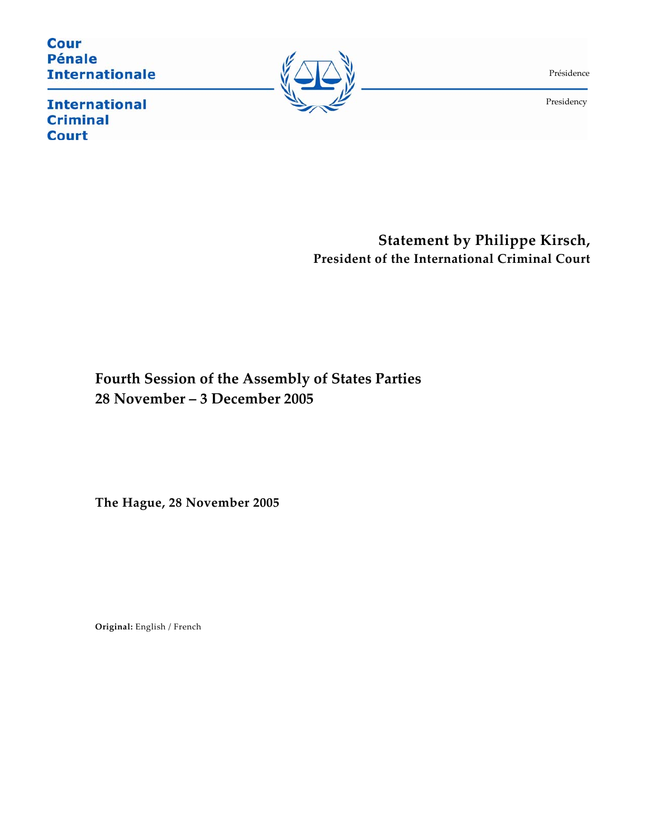**Cour Pénale Internationale** 



Présidence

Presidency

 $\overline{\phantom{0}}$ 

**International Criminal Court** 

> **Statement by Philippe Kirsch, President of the International Criminal Court**

## **Fourth Session of the Assembly of States Parties 28 November – 3 December 2005**

**The Hague, 28 November 2005** 

**Original:** English / French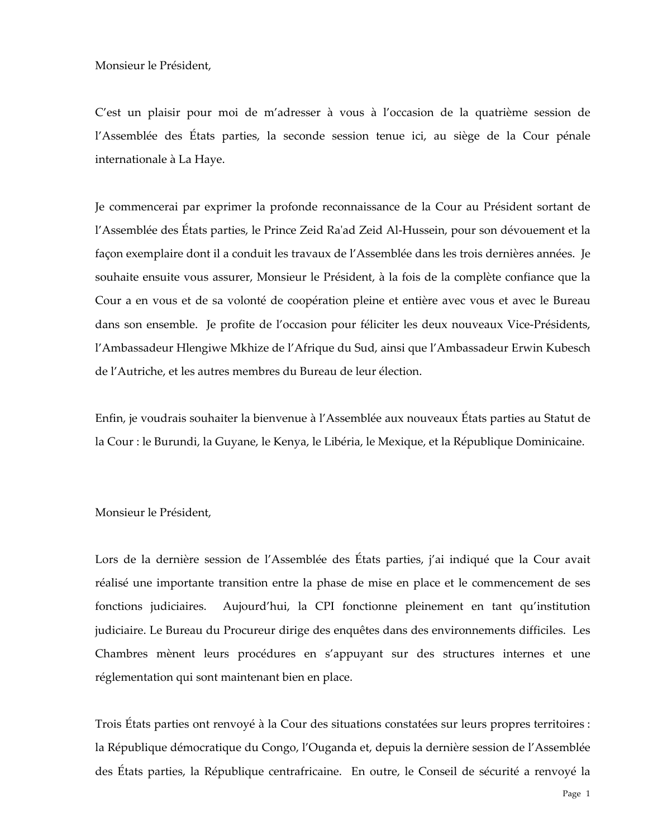C'est un plaisir pour moi de m'adresser à vous à l'occasion de la quatrième session de l'Assemblée des États parties, la seconde session tenue ici, au siège de la Cour pénale internationale à La Haye.

Je commencerai par exprimer la profonde reconnaissance de la Cour au Président sortant de l'Assemblée des États parties, le Prince Zeid Raʹad Zeid Al-Hussein, pour son dévouement et la façon exemplaire dont il a conduit les travaux de l'Assemblée dans les trois dernières années. Je souhaite ensuite vous assurer, Monsieur le Président, à la fois de la complète confiance que la Cour a en vous et de sa volonté de coopération pleine et entière avec vous et avec le Bureau dans son ensemble. Je profite de l'occasion pour féliciter les deux nouveaux Vice-Présidents, l'Ambassadeur Hlengiwe Mkhize de l'Afrique du Sud, ainsi que l'Ambassadeur Erwin Kubesch de l'Autriche, et les autres membres du Bureau de leur élection.

Enfin, je voudrais souhaiter la bienvenue à l'Assemblée aux nouveaux États parties au Statut de la Cour : le Burundi, la Guyane, le Kenya, le Libéria, le Mexique, et la République Dominicaine.

## Monsieur le Président,

Lors de la dernière session de l'Assemblée des États parties, j'ai indiqué que la Cour avait réalisé une importante transition entre la phase de mise en place et le commencement de ses fonctions judiciaires. Aujourd'hui, la CPI fonctionne pleinement en tant qu'institution judiciaire. Le Bureau du Procureur dirige des enquêtes dans des environnements difficiles. Les Chambres mènent leurs procédures en s'appuyant sur des structures internes et une réglementation qui sont maintenant bien en place.

Trois États parties ont renvoyé à la Cour des situations constatées sur leurs propres territoires : la République démocratique du Congo, l'Ouganda et, depuis la dernière session de l'Assemblée des États parties, la République centrafricaine. En outre, le Conseil de sécurité a renvoyé la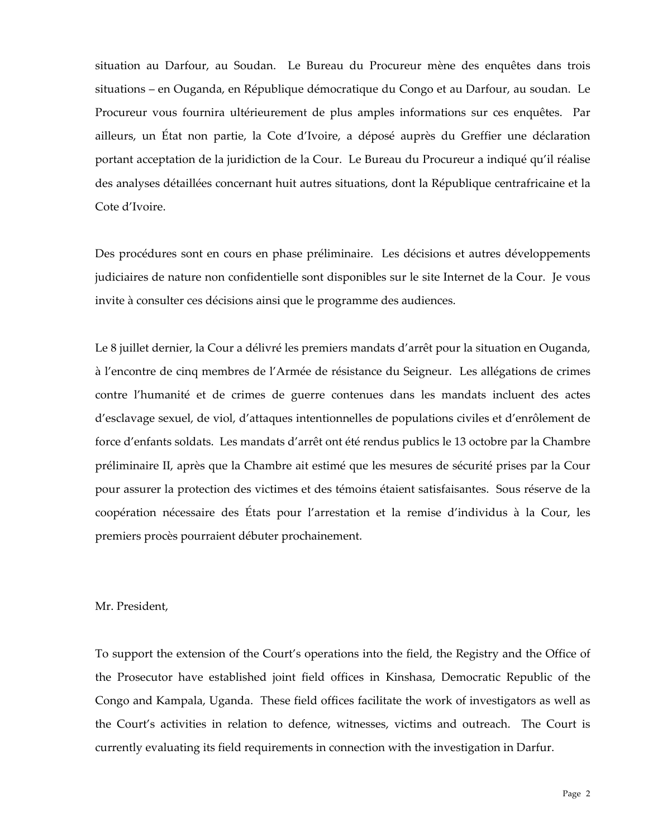situation au Darfour, au Soudan. Le Bureau du Procureur mène des enquêtes dans trois situations – en Ouganda, en République démocratique du Congo et au Darfour, au soudan. Le Procureur vous fournira ultérieurement de plus amples informations sur ces enquêtes. Par ailleurs, un État non partie, la Cote d'Ivoire, a déposé auprès du Greffier une déclaration portant acceptation de la juridiction de la Cour. Le Bureau du Procureur a indiqué qu'il réalise des analyses détaillées concernant huit autres situations, dont la République centrafricaine et la Cote d'Ivoire.

Des procédures sont en cours en phase préliminaire. Les décisions et autres développements judiciaires de nature non confidentielle sont disponibles sur le site Internet de la Cour. Je vous invite à consulter ces décisions ainsi que le programme des audiences.

Le 8 juillet dernier, la Cour a délivré les premiers mandats d'arrêt pour la situation en Ouganda, à l'encontre de cinq membres de l'Armée de résistance du Seigneur. Les allégations de crimes contre l'humanité et de crimes de guerre contenues dans les mandats incluent des actes d'esclavage sexuel, de viol, d'attaques intentionnelles de populations civiles et d'enrôlement de force d'enfants soldats. Les mandats d'arrêt ont été rendus publics le 13 octobre par la Chambre préliminaire II, après que la Chambre ait estimé que les mesures de sécurité prises par la Cour pour assurer la protection des victimes et des témoins étaient satisfaisantes. Sous réserve de la coopération nécessaire des États pour l'arrestation et la remise d'individus à la Cour, les premiers procès pourraient débuter prochainement.

## Mr. President,

To support the extension of the Court's operations into the field, the Registry and the Office of the Prosecutor have established joint field offices in Kinshasa, Democratic Republic of the Congo and Kampala, Uganda. These field offices facilitate the work of investigators as well as the Court's activities in relation to defence, witnesses, victims and outreach. The Court is currently evaluating its field requirements in connection with the investigation in Darfur.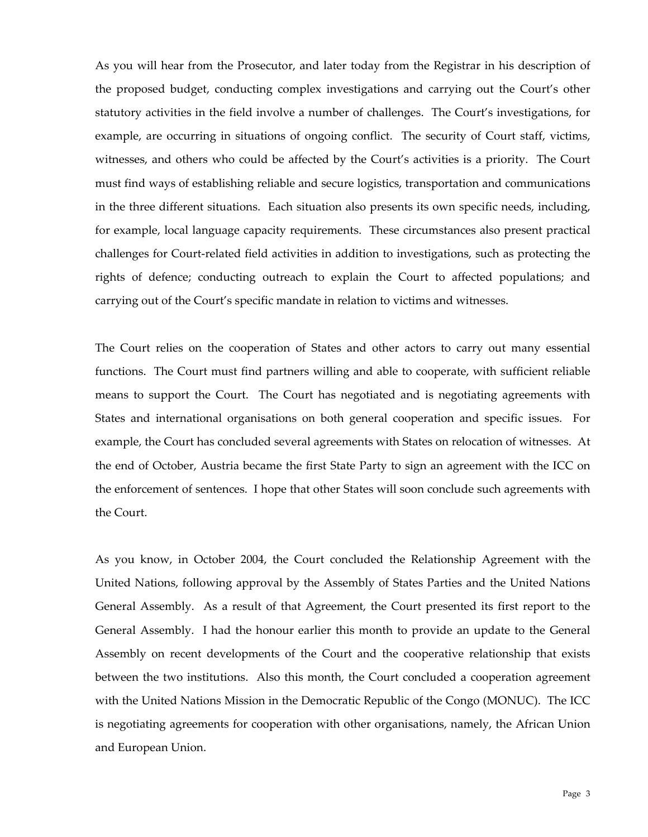As you will hear from the Prosecutor, and later today from the Registrar in his description of the proposed budget, conducting complex investigations and carrying out the Court's other statutory activities in the field involve a number of challenges. The Court's investigations, for example, are occurring in situations of ongoing conflict. The security of Court staff, victims, witnesses, and others who could be affected by the Court's activities is a priority. The Court must find ways of establishing reliable and secure logistics, transportation and communications in the three different situations. Each situation also presents its own specific needs, including, for example, local language capacity requirements. These circumstances also present practical challenges for Court-related field activities in addition to investigations, such as protecting the rights of defence; conducting outreach to explain the Court to affected populations; and carrying out of the Court's specific mandate in relation to victims and witnesses.

The Court relies on the cooperation of States and other actors to carry out many essential functions. The Court must find partners willing and able to cooperate, with sufficient reliable means to support the Court. The Court has negotiated and is negotiating agreements with States and international organisations on both general cooperation and specific issues. For example, the Court has concluded several agreements with States on relocation of witnesses. At the end of October, Austria became the first State Party to sign an agreement with the ICC on the enforcement of sentences. I hope that other States will soon conclude such agreements with the Court.

As you know, in October 2004, the Court concluded the Relationship Agreement with the United Nations, following approval by the Assembly of States Parties and the United Nations General Assembly. As a result of that Agreement, the Court presented its first report to the General Assembly. I had the honour earlier this month to provide an update to the General Assembly on recent developments of the Court and the cooperative relationship that exists between the two institutions. Also this month, the Court concluded a cooperation agreement with the United Nations Mission in the Democratic Republic of the Congo (MONUC). The ICC is negotiating agreements for cooperation with other organisations, namely, the African Union and European Union.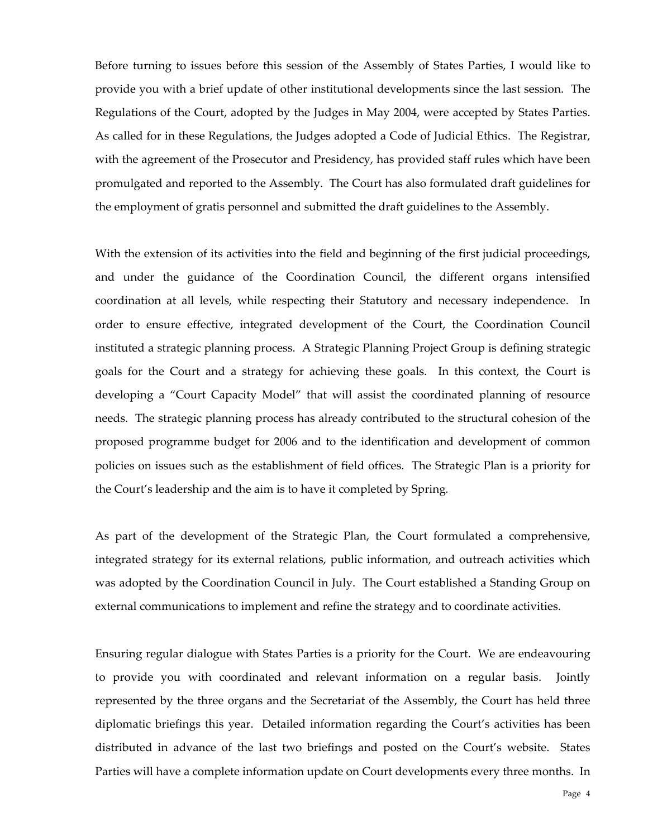Before turning to issues before this session of the Assembly of States Parties, I would like to provide you with a brief update of other institutional developments since the last session. The Regulations of the Court, adopted by the Judges in May 2004, were accepted by States Parties. As called for in these Regulations, the Judges adopted a Code of Judicial Ethics. The Registrar, with the agreement of the Prosecutor and Presidency, has provided staff rules which have been promulgated and reported to the Assembly. The Court has also formulated draft guidelines for the employment of gratis personnel and submitted the draft guidelines to the Assembly.

With the extension of its activities into the field and beginning of the first judicial proceedings, and under the guidance of the Coordination Council, the different organs intensified coordination at all levels, while respecting their Statutory and necessary independence. In order to ensure effective, integrated development of the Court, the Coordination Council instituted a strategic planning process. A Strategic Planning Project Group is defining strategic goals for the Court and a strategy for achieving these goals. In this context, the Court is developing a "Court Capacity Model" that will assist the coordinated planning of resource needs. The strategic planning process has already contributed to the structural cohesion of the proposed programme budget for 2006 and to the identification and development of common policies on issues such as the establishment of field offices. The Strategic Plan is a priority for the Court's leadership and the aim is to have it completed by Spring*.*

As part of the development of the Strategic Plan, the Court formulated a comprehensive, integrated strategy for its external relations, public information, and outreach activities which was adopted by the Coordination Council in July. The Court established a Standing Group on external communications to implement and refine the strategy and to coordinate activities.

Ensuring regular dialogue with States Parties is a priority for the Court. We are endeavouring to provide you with coordinated and relevant information on a regular basis. Jointly represented by the three organs and the Secretariat of the Assembly, the Court has held three diplomatic briefings this year. Detailed information regarding the Court's activities has been distributed in advance of the last two briefings and posted on the Court's website. States Parties will have a complete information update on Court developments every three months. In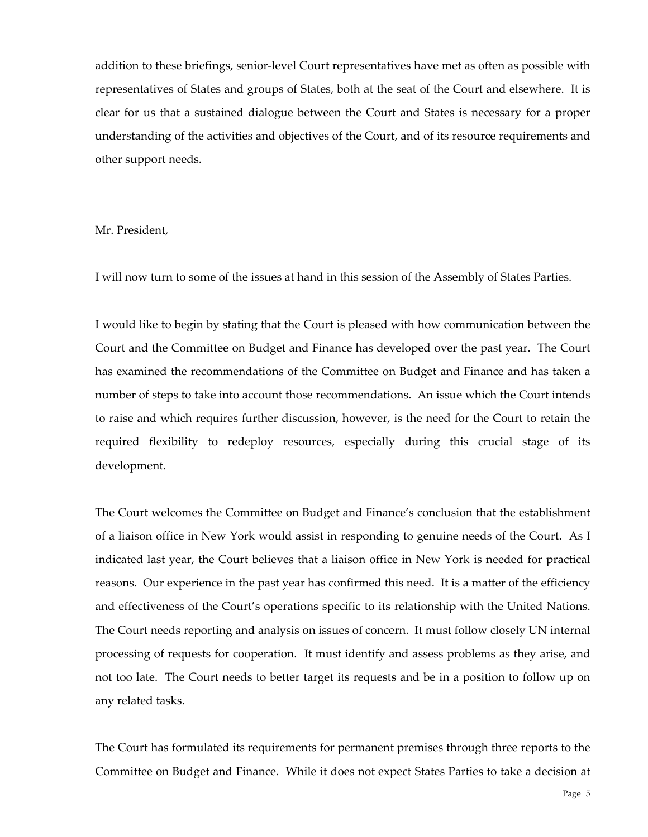addition to these briefings, senior-level Court representatives have met as often as possible with representatives of States and groups of States, both at the seat of the Court and elsewhere. It is clear for us that a sustained dialogue between the Court and States is necessary for a proper understanding of the activities and objectives of the Court, and of its resource requirements and other support needs.

Mr. President,

I will now turn to some of the issues at hand in this session of the Assembly of States Parties.

I would like to begin by stating that the Court is pleased with how communication between the Court and the Committee on Budget and Finance has developed over the past year. The Court has examined the recommendations of the Committee on Budget and Finance and has taken a number of steps to take into account those recommendations. An issue which the Court intends to raise and which requires further discussion, however, is the need for the Court to retain the required flexibility to redeploy resources, especially during this crucial stage of its development.

The Court welcomes the Committee on Budget and Finance's conclusion that the establishment of a liaison office in New York would assist in responding to genuine needs of the Court. As I indicated last year, the Court believes that a liaison office in New York is needed for practical reasons. Our experience in the past year has confirmed this need. It is a matter of the efficiency and effectiveness of the Court's operations specific to its relationship with the United Nations. The Court needs reporting and analysis on issues of concern. It must follow closely UN internal processing of requests for cooperation. It must identify and assess problems as they arise, and not too late. The Court needs to better target its requests and be in a position to follow up on any related tasks.

The Court has formulated its requirements for permanent premises through three reports to the Committee on Budget and Finance. While it does not expect States Parties to take a decision at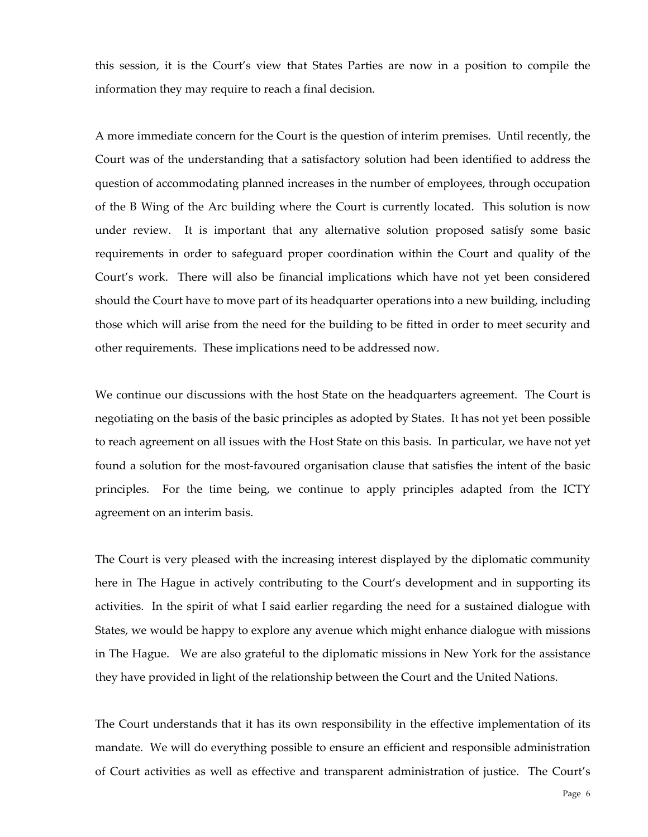this session, it is the Court's view that States Parties are now in a position to compile the information they may require to reach a final decision.

A more immediate concern for the Court is the question of interim premises. Until recently, the Court was of the understanding that a satisfactory solution had been identified to address the question of accommodating planned increases in the number of employees, through occupation of the B Wing of the Arc building where the Court is currently located. This solution is now under review. It is important that any alternative solution proposed satisfy some basic requirements in order to safeguard proper coordination within the Court and quality of the Court's work. There will also be financial implications which have not yet been considered should the Court have to move part of its headquarter operations into a new building, including those which will arise from the need for the building to be fitted in order to meet security and other requirements. These implications need to be addressed now.

We continue our discussions with the host State on the headquarters agreement. The Court is negotiating on the basis of the basic principles as adopted by States. It has not yet been possible to reach agreement on all issues with the Host State on this basis. In particular, we have not yet found a solution for the most-favoured organisation clause that satisfies the intent of the basic principles. For the time being, we continue to apply principles adapted from the ICTY agreement on an interim basis.

The Court is very pleased with the increasing interest displayed by the diplomatic community here in The Hague in actively contributing to the Court's development and in supporting its activities. In the spirit of what I said earlier regarding the need for a sustained dialogue with States, we would be happy to explore any avenue which might enhance dialogue with missions in The Hague. We are also grateful to the diplomatic missions in New York for the assistance they have provided in light of the relationship between the Court and the United Nations.

The Court understands that it has its own responsibility in the effective implementation of its mandate. We will do everything possible to ensure an efficient and responsible administration of Court activities as well as effective and transparent administration of justice. The Court's